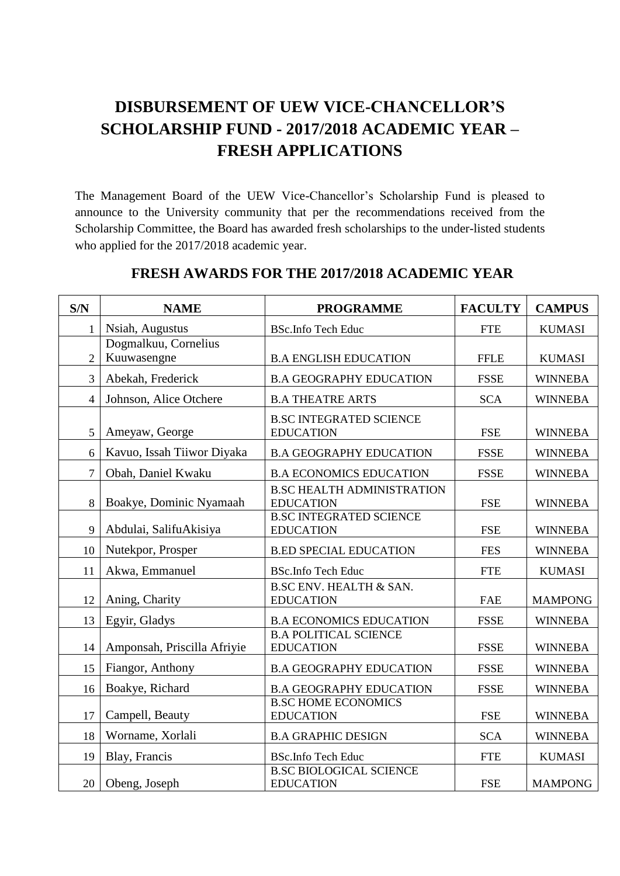## **DISBURSEMENT OF UEW VICE-CHANCELLOR'S SCHOLARSHIP FUND - 2017/2018 ACADEMIC YEAR – FRESH APPLICATIONS**

The Management Board of the UEW Vice-Chancellor's Scholarship Fund is pleased to announce to the University community that per the recommendations received from the Scholarship Committee, the Board has awarded fresh scholarships to the under-listed students who applied for the 2017/2018 academic year.

| S/N            | <b>NAME</b>                 | <b>PROGRAMME</b>                                       | <b>FACULTY</b> | <b>CAMPUS</b>  |
|----------------|-----------------------------|--------------------------------------------------------|----------------|----------------|
|                | Nsiah, Augustus             | <b>BSc.Info Tech Educ</b>                              | <b>FTE</b>     | <b>KUMASI</b>  |
|                | Dogmalkuu, Cornelius        |                                                        |                |                |
| $\overline{2}$ | Kuuwasengne                 | <b>B.A ENGLISH EDUCATION</b>                           | <b>FFLE</b>    | <b>KUMASI</b>  |
| 3              | Abekah, Frederick           | <b>B.A GEOGRAPHY EDUCATION</b>                         | <b>FSSE</b>    | <b>WINNEBA</b> |
| $\overline{4}$ | Johnson, Alice Otchere      | <b>B.A THEATRE ARTS</b>                                | <b>SCA</b>     | <b>WINNEBA</b> |
| 5              | Ameyaw, George              | <b>B.SC INTEGRATED SCIENCE</b><br><b>EDUCATION</b>     | <b>FSE</b>     | <b>WINNEBA</b> |
| 6              | Kavuo, Issah Tiiwor Diyaka  | <b>B.A GEOGRAPHY EDUCATION</b>                         | <b>FSSE</b>    | <b>WINNEBA</b> |
| $\overline{7}$ | Obah, Daniel Kwaku          | <b>B.A ECONOMICS EDUCATION</b>                         | <b>FSSE</b>    | <b>WINNEBA</b> |
| 8              | Boakye, Dominic Nyamaah     | <b>B.SC HEALTH ADMINISTRATION</b><br><b>EDUCATION</b>  | <b>FSE</b>     | <b>WINNEBA</b> |
| 9              | Abdulai, SalifuAkisiya      | <b>B.SC INTEGRATED SCIENCE</b><br><b>EDUCATION</b>     | <b>FSE</b>     | <b>WINNEBA</b> |
| 10             | Nutekpor, Prosper           | <b>B.ED SPECIAL EDUCATION</b>                          | <b>FES</b>     | <b>WINNEBA</b> |
| 11             | Akwa, Emmanuel              | <b>BSc.Info Tech Educ</b>                              | <b>FTE</b>     | <b>KUMASI</b>  |
| 12             | Aning, Charity              | <b>B.SC ENV. HEALTH &amp; SAN.</b><br><b>EDUCATION</b> | <b>FAE</b>     | <b>MAMPONG</b> |
| 13             | Egyir, Gladys               | <b>B.A ECONOMICS EDUCATION</b>                         | <b>FSSE</b>    | <b>WINNEBA</b> |
| 14             | Amponsah, Priscilla Afriyie | <b>B.A POLITICAL SCIENCE</b><br><b>EDUCATION</b>       | <b>FSSE</b>    | <b>WINNEBA</b> |
| 15             | Fiangor, Anthony            | <b>B.A GEOGRAPHY EDUCATION</b>                         | <b>FSSE</b>    | <b>WINNEBA</b> |
| 16             | Boakye, Richard             | <b>B.A GEOGRAPHY EDUCATION</b>                         | <b>FSSE</b>    | <b>WINNEBA</b> |
| 17             | Campell, Beauty             | <b>B.SC HOME ECONOMICS</b><br><b>EDUCATION</b>         | <b>FSE</b>     | <b>WINNEBA</b> |
| 18             | Worname, Xorlali            | <b>B.A GRAPHIC DESIGN</b>                              | <b>SCA</b>     | <b>WINNEBA</b> |
| 19             | Blay, Francis               | <b>BSc.Info Tech Educ</b>                              | <b>FTE</b>     | <b>KUMASI</b>  |
| 20             | Obeng, Joseph               | <b>B.SC BIOLOGICAL SCIENCE</b><br><b>EDUCATION</b>     | <b>FSE</b>     | <b>MAMPONG</b> |

## **FRESH AWARDS FOR THE 2017/2018 ACADEMIC YEAR**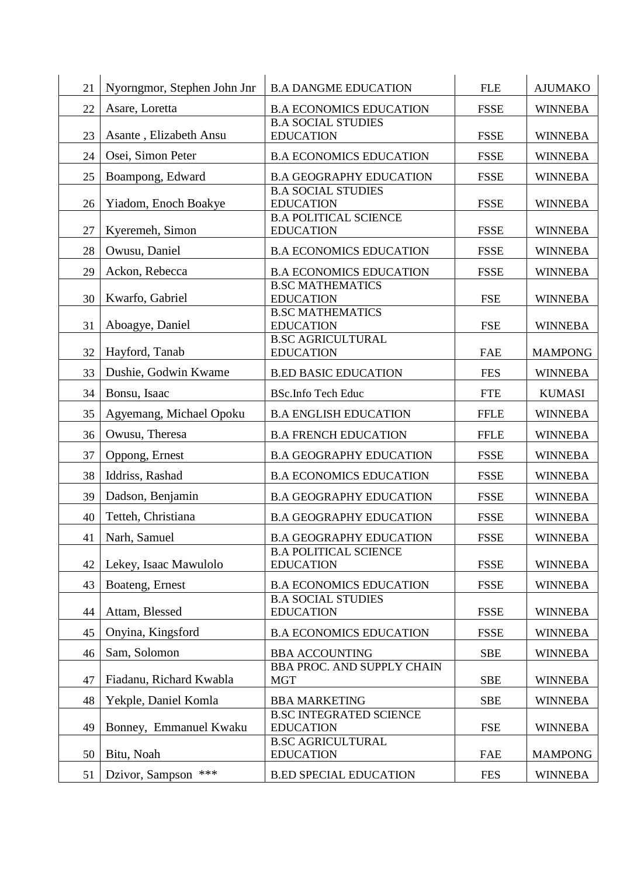| 21 | Nyorngmor, Stephen John Jnr | <b>B.A DANGME EDUCATION</b>                                             | <b>FLE</b>  | <b>AJUMAKO</b> |
|----|-----------------------------|-------------------------------------------------------------------------|-------------|----------------|
| 22 | Asare, Loretta              | <b>B.A ECONOMICS EDUCATION</b>                                          | <b>FSSE</b> | <b>WINNEBA</b> |
| 23 | Asante, Elizabeth Ansu      | <b>B.A SOCIAL STUDIES</b><br><b>EDUCATION</b>                           | <b>FSSE</b> | <b>WINNEBA</b> |
| 24 | Osei, Simon Peter           | <b>B.A ECONOMICS EDUCATION</b>                                          | <b>FSSE</b> | <b>WINNEBA</b> |
| 25 | Boampong, Edward            | <b>B.A GEOGRAPHY EDUCATION</b>                                          | <b>FSSE</b> | <b>WINNEBA</b> |
| 26 | Yiadom, Enoch Boakye        | <b>B.A SOCIAL STUDIES</b><br><b>EDUCATION</b>                           | <b>FSSE</b> | <b>WINNEBA</b> |
| 27 | Kyeremeh, Simon             | <b>B.A POLITICAL SCIENCE</b><br><b>EDUCATION</b>                        | <b>FSSE</b> | <b>WINNEBA</b> |
| 28 | Owusu, Daniel               | <b>B.A ECONOMICS EDUCATION</b>                                          | <b>FSSE</b> | <b>WINNEBA</b> |
| 29 | Ackon, Rebecca              | <b>B.A ECONOMICS EDUCATION</b>                                          | <b>FSSE</b> | <b>WINNEBA</b> |
| 30 | Kwarfo, Gabriel             | <b>B.SC MATHEMATICS</b><br><b>EDUCATION</b>                             | <b>FSE</b>  | <b>WINNEBA</b> |
| 31 | Aboagye, Daniel             | <b>B.SC MATHEMATICS</b><br><b>EDUCATION</b><br><b>B.SC AGRICULTURAL</b> | <b>FSE</b>  | <b>WINNEBA</b> |
| 32 | Hayford, Tanab              | <b>EDUCATION</b>                                                        | <b>FAE</b>  | <b>MAMPONG</b> |
| 33 | Dushie, Godwin Kwame        | <b>B.ED BASIC EDUCATION</b>                                             | <b>FES</b>  | <b>WINNEBA</b> |
| 34 | Bonsu, Isaac                | <b>BSc.Info Tech Educ</b>                                               | <b>FTE</b>  | <b>KUMASI</b>  |
| 35 | Agyemang, Michael Opoku     | <b>B.A ENGLISH EDUCATION</b>                                            | <b>FFLE</b> | <b>WINNEBA</b> |
| 36 | Owusu, Theresa              | <b>B.A FRENCH EDUCATION</b>                                             | <b>FFLE</b> | <b>WINNEBA</b> |
| 37 | Oppong, Ernest              | <b>B.A GEOGRAPHY EDUCATION</b>                                          | <b>FSSE</b> | <b>WINNEBA</b> |
| 38 | Iddriss, Rashad             | <b>B.A ECONOMICS EDUCATION</b>                                          | <b>FSSE</b> | <b>WINNEBA</b> |
| 39 | Dadson, Benjamin            | <b>B.A GEOGRAPHY EDUCATION</b>                                          | <b>FSSE</b> | <b>WINNEBA</b> |
| 40 | Tetteh, Christiana          | <b>B.A GEOGRAPHY EDUCATION</b>                                          | <b>FSSE</b> | <b>WINNEBA</b> |
| 41 | Narh, Samuel                | <b>B.A GEOGRAPHY EDUCATION</b>                                          | <b>FSSE</b> | <b>WINNEBA</b> |
| 42 | Lekey, Isaac Mawulolo       | <b>B.A POLITICAL SCIENCE</b><br><b>EDUCATION</b>                        | <b>FSSE</b> | <b>WINNEBA</b> |
| 43 | Boateng, Ernest             | <b>B.A ECONOMICS EDUCATION</b>                                          | <b>FSSE</b> | <b>WINNEBA</b> |
| 44 | Attam, Blessed              | <b>B.A SOCIAL STUDIES</b><br><b>EDUCATION</b>                           | <b>FSSE</b> | <b>WINNEBA</b> |
| 45 | Onyina, Kingsford           | <b>B.A ECONOMICS EDUCATION</b>                                          | <b>FSSE</b> | <b>WINNEBA</b> |
| 46 | Sam, Solomon                | <b>BBA ACCOUNTING</b>                                                   | <b>SBE</b>  | <b>WINNEBA</b> |
| 47 | Fiadanu, Richard Kwabla     | <b>BBA PROC. AND SUPPLY CHAIN</b><br><b>MGT</b>                         | <b>SBE</b>  | <b>WINNEBA</b> |
| 48 | Yekple, Daniel Komla        | <b>BBA MARKETING</b>                                                    | <b>SBE</b>  | <b>WINNEBA</b> |
| 49 | Bonney, Emmanuel Kwaku      | <b>B.SC INTEGRATED SCIENCE</b><br><b>EDUCATION</b>                      | <b>FSE</b>  | <b>WINNEBA</b> |
| 50 | Bitu, Noah                  | <b>B.SC AGRICULTURAL</b><br><b>EDUCATION</b>                            | <b>FAE</b>  | <b>MAMPONG</b> |
| 51 | $***$<br>Dzivor, Sampson    | <b>B.ED SPECIAL EDUCATION</b>                                           | <b>FES</b>  | <b>WINNEBA</b> |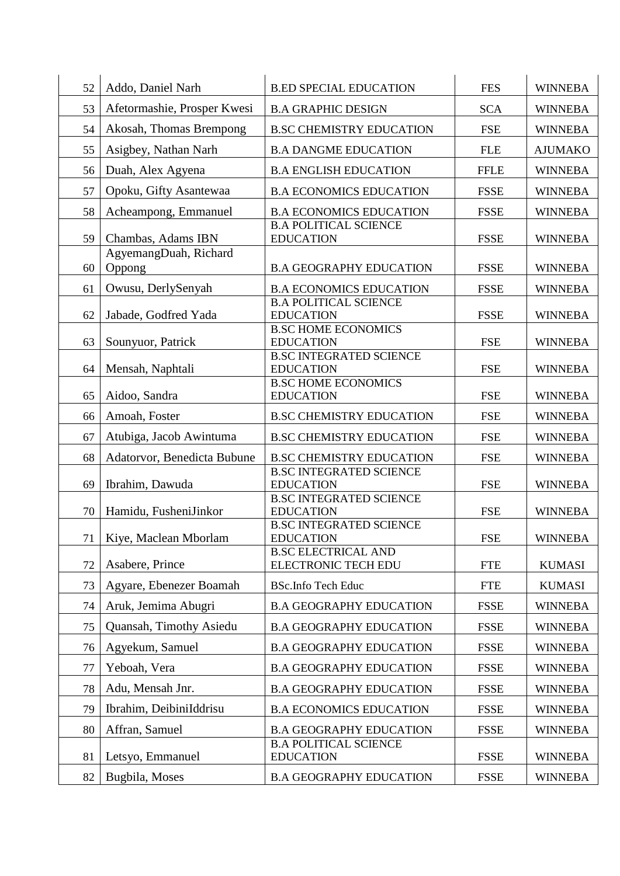| 52       | Addo, Daniel Narh                          | <b>B.ED SPECIAL EDUCATION</b>                                                      | <b>FES</b>                 | <b>WINNEBA</b>                   |
|----------|--------------------------------------------|------------------------------------------------------------------------------------|----------------------------|----------------------------------|
| 53       | Afetormashie, Prosper Kwesi                | <b>B.A GRAPHIC DESIGN</b>                                                          | <b>SCA</b>                 | <b>WINNEBA</b>                   |
| 54       | Akosah, Thomas Brempong                    | <b>B.SC CHEMISTRY EDUCATION</b>                                                    | <b>FSE</b>                 | <b>WINNEBA</b>                   |
| 55       |                                            | <b>B.A DANGME EDUCATION</b>                                                        | <b>FLE</b>                 | <b>AJUMAKO</b>                   |
|          | Asigbey, Nathan Narh<br>Duah, Alex Agyena  |                                                                                    |                            |                                  |
| 56       |                                            | <b>B.A ENGLISH EDUCATION</b>                                                       | <b>FFLE</b>                | <b>WINNEBA</b>                   |
| 57       | Opoku, Gifty Asantewaa                     | <b>B.A ECONOMICS EDUCATION</b>                                                     | <b>FSSE</b>                | <b>WINNEBA</b>                   |
| 58<br>59 | Acheampong, Emmanuel<br>Chambas, Adams IBN | <b>B.A ECONOMICS EDUCATION</b><br><b>B.A POLITICAL SCIENCE</b><br><b>EDUCATION</b> | <b>FSSE</b><br><b>FSSE</b> | <b>WINNEBA</b><br><b>WINNEBA</b> |
| 60       | AgyemangDuah, Richard<br>Oppong            | <b>B.A GEOGRAPHY EDUCATION</b>                                                     | <b>FSSE</b>                | <b>WINNEBA</b>                   |
| 61       | Owusu, DerlySenyah                         | <b>B.A ECONOMICS EDUCATION</b>                                                     | <b>FSSE</b>                | <b>WINNEBA</b>                   |
| 62       | Jabade, Godfred Yada                       | <b>B.A POLITICAL SCIENCE</b><br><b>EDUCATION</b>                                   | <b>FSSE</b>                | <b>WINNEBA</b>                   |
| 63       | Sounyuor, Patrick                          | <b>B.SC HOME ECONOMICS</b><br><b>EDUCATION</b>                                     | <b>FSE</b>                 | <b>WINNEBA</b>                   |
| 64       | Mensah, Naphtali                           | <b>B.SC INTEGRATED SCIENCE</b><br><b>EDUCATION</b>                                 | <b>FSE</b>                 | <b>WINNEBA</b>                   |
| 65       | Aidoo, Sandra                              | <b>B.SC HOME ECONOMICS</b><br><b>EDUCATION</b>                                     | <b>FSE</b>                 | <b>WINNEBA</b>                   |
| 66       | Amoah, Foster                              | <b>B.SC CHEMISTRY EDUCATION</b>                                                    | <b>FSE</b>                 | <b>WINNEBA</b>                   |
| 67       | Atubiga, Jacob Awintuma                    | <b>B.SC CHEMISTRY EDUCATION</b>                                                    | <b>FSE</b>                 | <b>WINNEBA</b>                   |
| 68       | Adatorvor, Benedicta Bubune                | <b>B.SC CHEMISTRY EDUCATION</b>                                                    | <b>FSE</b>                 | <b>WINNEBA</b>                   |
| 69       | Ibrahim, Dawuda                            | <b>B.SC INTEGRATED SCIENCE</b><br><b>EDUCATION</b>                                 | <b>FSE</b>                 | <b>WINNEBA</b>                   |
| 70       | Hamidu, FusheniJinkor                      | <b>B.SC INTEGRATED SCIENCE</b><br><b>EDUCATION</b>                                 | <b>FSE</b>                 | <b>WINNEBA</b>                   |
| 71       | Kiye, Maclean Mborlam                      | <b>B.SC INTEGRATED SCIENCE</b><br><b>EDUCATION</b>                                 | <b>FSE</b>                 | <b>WINNEBA</b>                   |
| 72       | Asabere, Prince                            | <b>B.SC ELECTRICAL AND</b><br><b>ELECTRONIC TECH EDU</b>                           | <b>FTE</b>                 | <b>KUMASI</b>                    |
| 73       | Agyare, Ebenezer Boamah                    | <b>BSc.Info Tech Educ</b>                                                          | <b>FTE</b>                 | <b>KUMASI</b>                    |
| 74       | Aruk, Jemima Abugri                        | <b>B.A GEOGRAPHY EDUCATION</b>                                                     | <b>FSSE</b>                | <b>WINNEBA</b>                   |
| 75       | Quansah, Timothy Asiedu                    | <b>B.A GEOGRAPHY EDUCATION</b>                                                     | <b>FSSE</b>                | <b>WINNEBA</b>                   |
| 76       | Agyekum, Samuel                            | <b>B.A GEOGRAPHY EDUCATION</b>                                                     | <b>FSSE</b>                | <b>WINNEBA</b>                   |
| 77       | Yeboah, Vera                               | <b>B.A GEOGRAPHY EDUCATION</b>                                                     | <b>FSSE</b>                | <b>WINNEBA</b>                   |
| 78       | Adu, Mensah Jnr.                           | <b>B.A GEOGRAPHY EDUCATION</b>                                                     | <b>FSSE</b>                | <b>WINNEBA</b>                   |
| 79       | Ibrahim, DeibiniIddrisu                    | <b>B.A ECONOMICS EDUCATION</b>                                                     | <b>FSSE</b>                | <b>WINNEBA</b>                   |
| 80       | Affran, Samuel                             | <b>B.A GEOGRAPHY EDUCATION</b>                                                     | <b>FSSE</b>                | <b>WINNEBA</b>                   |
| 81       | Letsyo, Emmanuel                           | <b>B.A POLITICAL SCIENCE</b><br><b>EDUCATION</b>                                   | <b>FSSE</b>                | <b>WINNEBA</b>                   |
| 82       | Bugbila, Moses                             | <b>B.A GEOGRAPHY EDUCATION</b>                                                     | <b>FSSE</b>                | <b>WINNEBA</b>                   |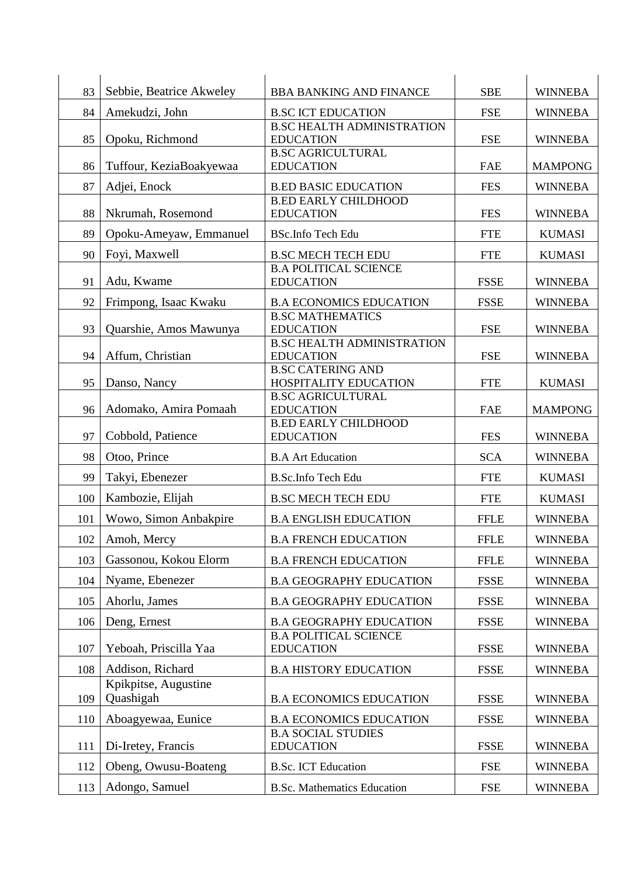| 83  | Sebbie, Beatrice Akweley          | <b>BBA BANKING AND FINANCE</b>                                              | <b>SBE</b>  | <b>WINNEBA</b> |
|-----|-----------------------------------|-----------------------------------------------------------------------------|-------------|----------------|
| 84  | Amekudzi, John                    | <b>B.SC ICT EDUCATION</b>                                                   | <b>FSE</b>  | <b>WINNEBA</b> |
| 85  | Opoku, Richmond                   | <b>B.SC HEALTH ADMINISTRATION</b><br><b>EDUCATION</b>                       | <b>FSE</b>  | <b>WINNEBA</b> |
| 86  | Tuffour, KeziaBoakyewaa           | <b>B.SC AGRICULTURAL</b><br><b>EDUCATION</b>                                | <b>FAE</b>  | <b>MAMPONG</b> |
| 87  | Adjei, Enock                      | <b>B.ED BASIC EDUCATION</b>                                                 | <b>FES</b>  | <b>WINNEBA</b> |
| 88  | Nkrumah, Rosemond                 | <b>B.ED EARLY CHILDHOOD</b><br><b>EDUCATION</b>                             | <b>FES</b>  | <b>WINNEBA</b> |
| 89  | Opoku-Ameyaw, Emmanuel            | <b>BSc.Info Tech Edu</b>                                                    | <b>FTE</b>  | <b>KUMASI</b>  |
| 90  | Foyi, Maxwell                     | <b>B.SC MECH TECH EDU</b>                                                   | <b>FTE</b>  | <b>KUMASI</b>  |
| 91  | Adu, Kwame                        | <b>B.A POLITICAL SCIENCE</b><br><b>EDUCATION</b>                            | <b>FSSE</b> | <b>WINNEBA</b> |
| 92  | Frimpong, Isaac Kwaku             | <b>B.A ECONOMICS EDUCATION</b>                                              | <b>FSSE</b> | <b>WINNEBA</b> |
| 93  | Quarshie, Amos Mawunya            | <b>B.SC MATHEMATICS</b><br><b>EDUCATION</b>                                 | <b>FSE</b>  | <b>WINNEBA</b> |
| 94  | Affum, Christian                  | <b>B.SC HEALTH ADMINISTRATION</b><br><b>EDUCATION</b>                       | <b>FSE</b>  | <b>WINNEBA</b> |
| 95  | Danso, Nancy                      | <b>B.SC CATERING AND</b><br>HOSPITALITY EDUCATION                           | <b>FTE</b>  | <b>KUMASI</b>  |
| 96  | Adomako, Amira Pomaah             | <b>B.SC AGRICULTURAL</b><br><b>EDUCATION</b><br><b>B.ED EARLY CHILDHOOD</b> | <b>FAE</b>  | <b>MAMPONG</b> |
| 97  | Cobbold, Patience                 | <b>EDUCATION</b>                                                            | <b>FES</b>  | <b>WINNEBA</b> |
| 98  | Otoo, Prince                      | <b>B.A Art Education</b>                                                    | <b>SCA</b>  | <b>WINNEBA</b> |
| 99  | Takyi, Ebenezer                   | B.Sc.Info Tech Edu                                                          | <b>FTE</b>  | <b>KUMASI</b>  |
| 100 | Kambozie, Elijah                  | <b>B.SC MECH TECH EDU</b>                                                   | <b>FTE</b>  | <b>KUMASI</b>  |
| 101 | Wowo, Simon Anbakpire             | <b>B.A ENGLISH EDUCATION</b>                                                | <b>FFLE</b> | <b>WINNEBA</b> |
| 102 | Amoh, Mercy                       | <b>B.A FRENCH EDUCATION</b>                                                 | <b>FFLE</b> | <b>WINNEBA</b> |
| 103 | Gassonou, Kokou Elorm             | <b>B.A FRENCH EDUCATION</b>                                                 | <b>FFLE</b> | <b>WINNEBA</b> |
| 104 | Nyame, Ebenezer                   | <b>B.A GEOGRAPHY EDUCATION</b>                                              | <b>FSSE</b> | <b>WINNEBA</b> |
| 105 | Ahorlu, James                     | <b>B.A GEOGRAPHY EDUCATION</b>                                              | <b>FSSE</b> | <b>WINNEBA</b> |
| 106 | Deng, Ernest                      | <b>B.A GEOGRAPHY EDUCATION</b>                                              | <b>FSSE</b> | <b>WINNEBA</b> |
| 107 | Yeboah, Priscilla Yaa             | <b>B.A POLITICAL SCIENCE</b><br><b>EDUCATION</b>                            | <b>FSSE</b> | <b>WINNEBA</b> |
| 108 | Addison, Richard                  | <b>B.A HISTORY EDUCATION</b>                                                | <b>FSSE</b> | <b>WINNEBA</b> |
| 109 | Kpikpitse, Augustine<br>Quashigah | <b>B.A ECONOMICS EDUCATION</b>                                              | <b>FSSE</b> | <b>WINNEBA</b> |
| 110 | Aboagyewaa, Eunice                | <b>B.A ECONOMICS EDUCATION</b>                                              | <b>FSSE</b> | <b>WINNEBA</b> |
| 111 | Di-Iretey, Francis                | <b>B.A SOCIAL STUDIES</b><br><b>EDUCATION</b>                               | <b>FSSE</b> | <b>WINNEBA</b> |
| 112 | Obeng, Owusu-Boateng              | <b>B.Sc. ICT Education</b>                                                  | <b>FSE</b>  | <b>WINNEBA</b> |
| 113 | Adongo, Samuel                    | <b>B.Sc. Mathematics Education</b>                                          | <b>FSE</b>  | <b>WINNEBA</b> |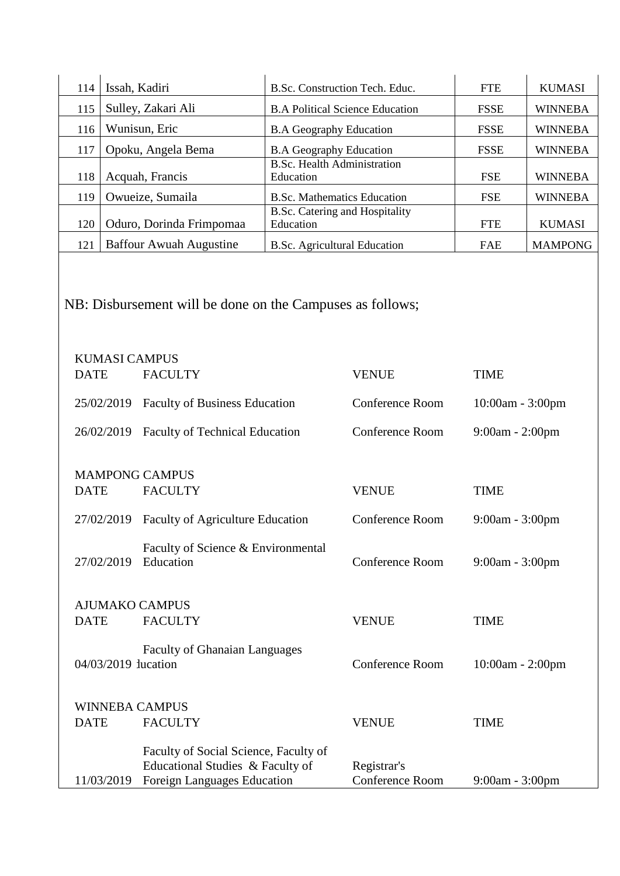| 114                                                                   | Issah, Kadiri                                                 |                                                                                                          | B.Sc. Construction Tech. Educ.                  |                                                | <b>FTE</b>        | <b>KUMASI</b>  |  |
|-----------------------------------------------------------------------|---------------------------------------------------------------|----------------------------------------------------------------------------------------------------------|-------------------------------------------------|------------------------------------------------|-------------------|----------------|--|
| 115                                                                   |                                                               | Sulley, Zakari Ali                                                                                       | <b>B.A Political Science Education</b>          |                                                | <b>FSSE</b>       | <b>WINNEBA</b> |  |
| 116                                                                   | Wunisun, Eric                                                 |                                                                                                          | <b>B.A Geography Education</b>                  |                                                | <b>FSSE</b>       | <b>WINNEBA</b> |  |
| 117                                                                   |                                                               | Opoku, Angela Bema                                                                                       | <b>B.A Geography Education</b>                  |                                                | <b>FSSE</b>       | <b>WINNEBA</b> |  |
| 118                                                                   |                                                               | Acquah, Francis                                                                                          | <b>B.Sc. Health Administration</b>              |                                                | <b>FSE</b>        | <b>WINNEBA</b> |  |
|                                                                       |                                                               |                                                                                                          | Education<br><b>B.Sc. Mathematics Education</b> |                                                |                   |                |  |
| 119                                                                   |                                                               | Owueize, Sumaila                                                                                         | <b>B.Sc. Catering and Hospitality</b>           |                                                | <b>FSE</b>        | <b>WINNEBA</b> |  |
| 120                                                                   |                                                               | Oduro, Dorinda Frimpomaa                                                                                 | Education                                       |                                                | <b>FTE</b>        | <b>KUMASI</b>  |  |
| 121                                                                   |                                                               | <b>Baffour Awuah Augustine</b>                                                                           | <b>B.Sc. Agricultural Education</b>             |                                                | <b>FAE</b>        | <b>MAMPONG</b> |  |
|                                                                       | NB: Disbursement will be done on the Campuses as follows;     |                                                                                                          |                                                 |                                                |                   |                |  |
|                                                                       | <b>KUMASI CAMPUS</b>                                          |                                                                                                          |                                                 |                                                |                   |                |  |
| <b>DATE</b>                                                           |                                                               | <b>FACULTY</b>                                                                                           |                                                 | <b>VENUE</b>                                   | <b>TIME</b>       |                |  |
| 25/02/2019 Faculty of Business Education                              |                                                               |                                                                                                          | Conference Room                                 | 10:00am - 3:00pm                               |                   |                |  |
| 26/02/2019<br><b>Faculty of Technical Education</b>                   |                                                               |                                                                                                          | Conference Room                                 | 9:00am - 2:00pm                                |                   |                |  |
| <b>DATE</b>                                                           |                                                               | <b>MAMPONG CAMPUS</b><br><b>FACULTY</b>                                                                  |                                                 | <b>VENUE</b>                                   | <b>TIME</b>       |                |  |
|                                                                       | 27/02/2019<br><b>Faculty of Agriculture Education</b>         |                                                                                                          |                                                 | Conference Room                                | $9:00am - 3:00pm$ |                |  |
|                                                                       | Faculty of Science & Environmental<br>Education<br>27/02/2019 |                                                                                                          |                                                 | Conference Room                                | 9:00am - 3:00pm   |                |  |
| <b>AJUMAKO CAMPUS</b>                                                 |                                                               |                                                                                                          |                                                 |                                                |                   |                |  |
| <b>DATE</b>                                                           |                                                               | <b>FACULTY</b>                                                                                           |                                                 | <b>VENUE</b>                                   | <b>TIME</b>       |                |  |
| <b>Faculty of Ghanaian Languages</b><br>04/03/2019 lucation           |                                                               |                                                                                                          | Conference Room                                 | 10:00am - 2:00pm                               |                   |                |  |
| <b>WINNEBA CAMPUS</b><br><b>DATE</b><br><b>FACULTY</b><br><b>TIME</b> |                                                               |                                                                                                          |                                                 |                                                |                   |                |  |
|                                                                       | 11/03/2019                                                    | Faculty of Social Science, Faculty of<br>Educational Studies & Faculty of<br>Foreign Languages Education |                                                 | <b>VENUE</b><br>Registrar's<br>Conference Room | 9:00am - 3:00pm   |                |  |